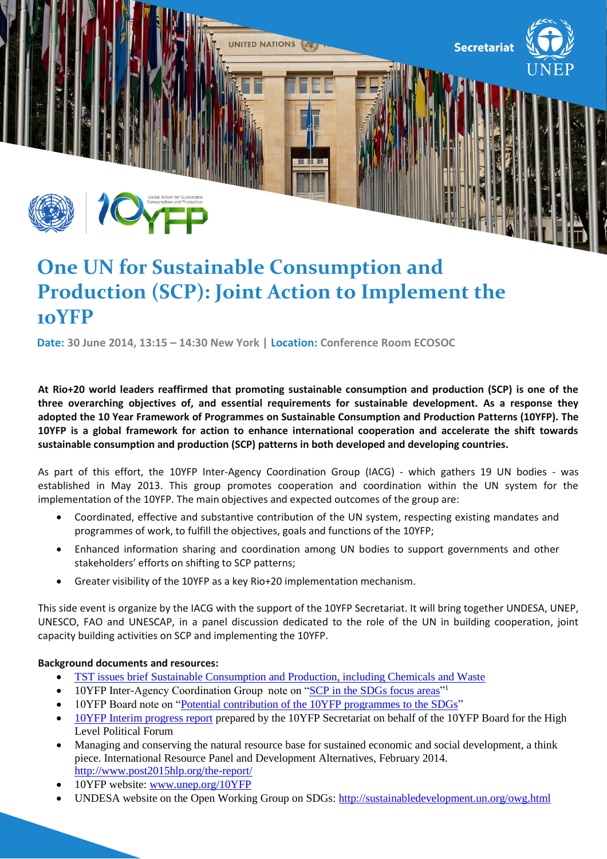

# **One UN for Sustainable Consumption and Production (SCP): Joint Action to Implement the 10YFP**

**Date: 30 June 2014, 13:15 – 14:30 New York | Location: Conference Room ECOSOC**

**At Rio+20 world leaders reaffirmed that promoting sustainable consumption and production (SCP) is one of the three overarching objectives of, and essential requirements for sustainable development. As a response they adopted the 10 Year Framework of Programmes on Sustainable Consumption and Production Patterns (10YFP). The 10YFP is a global framework for action to enhance international cooperation and accelerate the shift towards sustainable consumption and production (SCP) patterns in both developed and developing countries.** 

As part of this effort, the 10YFP Inter-Agency Coordination Group (IACG) - which gathers 19 UN bodies - was established in May 2013. This group promotes cooperation and coordination within the UN system for the implementation of the 10YFP. The main objectives and expected outcomes of the group are:

- Coordinated, effective and substantive contribution of the UN system, respecting existing mandates and programmes of work, to fulfill the objectives, goals and functions of the 10YFP;
- Enhanced information sharing and coordination among UN bodies to support governments and other stakeholders' efforts on shifting to SCP patterns;
- Greater visibility of the 10YFP as a key Rio+20 implementation mechanism.

This side event is organize by the IACG with the support of the 10YFP Secretariat. It will bring together UNDESA, UNEP, UNESCO, FAO and UNESCAP, in a panel discussion dedicated to the role of the UN in building cooperation, joint capacity building activities on SCP and implementing the 10YFP.

## **Background documents and resources:**

- [TST issues brief Sustainable Consumption and Production, including Chemicals and Waste](http://sustainabledevelopment.un.org/content/documents/2296SCP%20Issues%20Brief%20SDG_FINAL.pdf)
- 10YFP Inter-Agency Coordination Group note on ["SCP in the SDGs focus areas"](http://www.unep.org/10yfp/Portals/50150/10YFP%20IACG.pdf)<sup>1</sup>
- 10YFP Board note on ["Potential contribution of the 10YFP programmes to the SDGs"](http://www.unep.org/10yfp/Portals/50150/10YFP%20board%20paper.pdf)
- [10YFP Interim progress report](http://www.unep.org/10yfp/Portals/50150/HLPF%2010YFP.pdf) prepared by the 10YFP Secretariat on behalf of the 10YFP Board for the High Level Political Forum
- Managing and conserving the natural resource base for sustained economic and social development, a think piece. International Resource Panel and Development Alternatives, February 2014. <http://www.post2015hlp.org/the-report/>
- 10YFP website: [www.unep.org/10YFP](http://www.unep.org/10YFP)
- UNDESA website on the Open Working Group on SDGs:<http://sustainabledevelopment.un.org/owg.html>